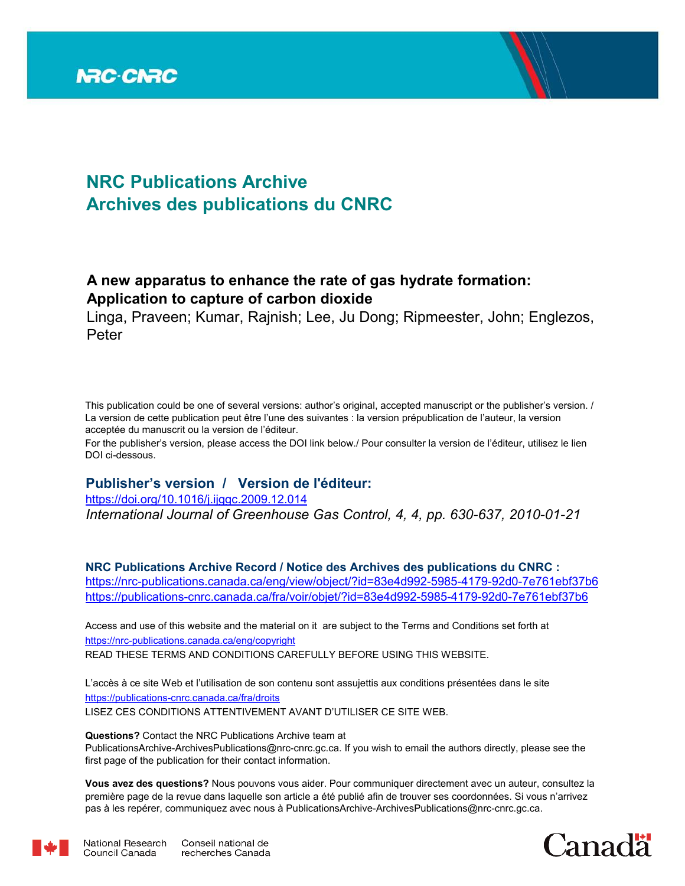

# **NRC Publications Archive Archives des publications du CNRC**

# **A new apparatus to enhance the rate of gas hydrate formation: Application to capture of carbon dioxide**

Linga, Praveen; Kumar, Rajnish; Lee, Ju Dong; Ripmeester, John; Englezos, Peter

This publication could be one of several versions: author's original, accepted manuscript or the publisher's version. / La version de cette publication peut être l'une des suivantes : la version prépublication de l'auteur, la version acceptée du manuscrit ou la version de l'éditeur.

For the publisher's version, please access the DOI link below./ Pour consulter la version de l'éditeur, utilisez le lien DOI ci-dessous.

## **Publisher's version / Version de l'éditeur:**

*International Journal of Greenhouse Gas Control, 4, 4, pp. 630-637, 2010-01-21* https://doi.org/10.1016/j.ijggc.2009.12.014

**NRC Publications Archive Record / Notice des Archives des publications du CNRC :** https://nrc-publications.canada.ca/eng/view/object/?id=83e4d992-5985-4179-92d0-7e761ebf37b6 https://publications-cnrc.canada.ca/fra/voir/objet/?id=83e4d992-5985-4179-92d0-7e761ebf37b6

READ THESE TERMS AND CONDITIONS CAREFULLY BEFORE USING THIS WEBSITE. https://nrc-publications.canada.ca/eng/copyright Access and use of this website and the material on it are subject to the Terms and Conditions set forth at

https://publications-cnrc.canada.ca/fra/droits L'accès à ce site Web et l'utilisation de son contenu sont assujettis aux conditions présentées dans le site LISEZ CES CONDITIONS ATTENTIVEMENT AVANT D'UTILISER CE SITE WEB.

**Questions?** Contact the NRC Publications Archive team at

PublicationsArchive-ArchivesPublications@nrc-cnrc.gc.ca. If you wish to email the authors directly, please see the first page of the publication for their contact information.

**Vous avez des questions?** Nous pouvons vous aider. Pour communiquer directement avec un auteur, consultez la première page de la revue dans laquelle son article a été publié afin de trouver ses coordonnées. Si vous n'arrivez pas à les repérer, communiquez avec nous à PublicationsArchive-ArchivesPublications@nrc-cnrc.gc.ca.



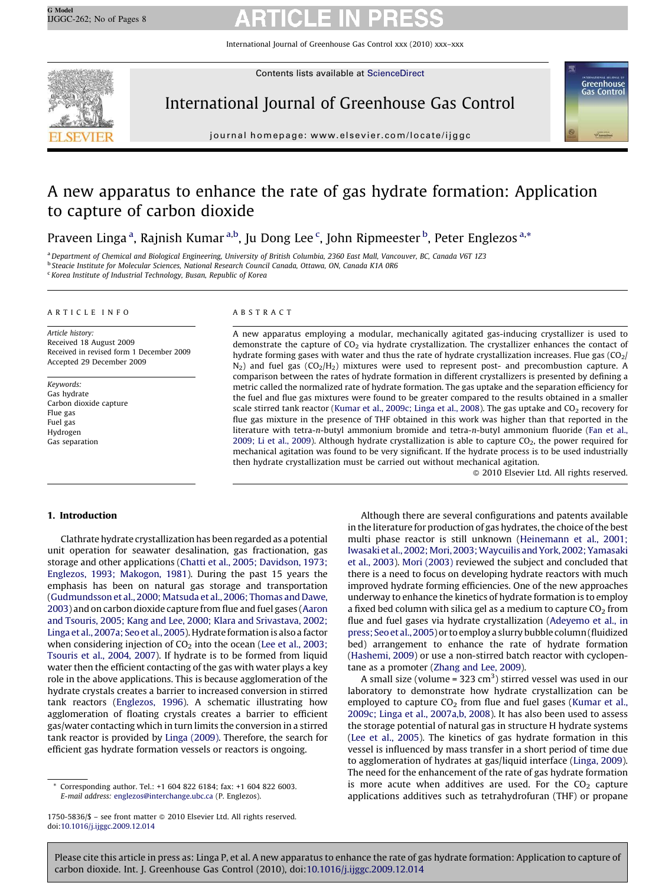International Journal of Greenhouse Gas Control xxx (2010) xxx–xxx



Contents lists available at [ScienceDirect](http://www.sciencedirect.com/science/journal/17505836)

# International Journal of Greenhouse Gas Control



journal homepage: www.elsevier.com/locate/ijggc

# A new apparatus to enhance the rate of gas hydrate formation: Application to capture of carbon dioxide

Praveen Linga <sup>a</sup>, Rajnish Kumar <sup>a,b</sup>, Ju Dong Lee <sup>c</sup>, John Ripmeester <sup>b</sup>, Peter Englezos <sup>a,\*</sup>

<sup>a</sup>*Department of Chemical and Biological Engineering, University of British Columbia, 2360 East Mall, Vancouver, BC, Canada V6T 1Z3* b *Steacie Institute for Molecular Sciences, National Research Council Canada, Ottawa, ON, Canada K1A 0R6*

c *Korea Institute of Industrial Technology, Busan, Republic of Korea*

### ARTICLE INFO

*Article history:* Received 18 August 2009 Received in revised form 1 December 2009 Accepted 29 December 2009

*Keywords:* Gas hydrate Carbon dioxide capture Flue gas Fuel gas Hydrogen Gas separation

### ABSTRACT

A new apparatus employing a modular, mechanically agitated gas-inducing crystallizer is used to demonstrate the capture of  $CO<sub>2</sub>$  via hydrate crystallization. The crystallizer enhances the contact of hydrate forming gases with water and thus the rate of hydrate crystallization increases. Flue gas  $(CO_2/$  $N_2$ ) and fuel gas  $(CO_2/H_2)$  mixtures were used to represent post- and precombustion capture. A comparison between the rates of hydrate formation in different crystallizers is presented by defining a metric called the normalized rate of hydrate formation. The gas uptake and the separation efficiency for the fuel and flue gas mixtures were found to be greater compared to the results obtained in a smaller scale stirred tank reactor ([Kumar et al., 2009c; Linga et al., 2008\)](#page-8-0). The gas uptake and CO<sub>2</sub> recovery for flue gas mixture in the presence of THF obtained in this work was higher than that reported in the literature with tetra-*n*-butyl ammonium bromide and tetra-*n*-butyl ammonium fluoride ([Fan et al.,](#page-8-0) [2009; Li et al., 2009\)](#page-8-0). Although hydrate crystallization is able to capture  $CO<sub>2</sub>$ , the power required for mechanical agitation was found to be very significant. If the hydrate process is to be used industrially then hydrate crystallization must be carried out without mechanical agitation.

 $@$  2010 Elsevier Ltd. All rights reserved.

### 1. Introduction

Clathrate hydrate crystallization has been regarded as a potential unit operation for seawater desalination, gas fractionation, gas storage and other applications ([Chatti et al., 2005; Davidson, 1973;](#page-8-0) [Englezos, 1993; Makogon, 1981\)](#page-8-0). During the past 15 years the emphasis has been on natural gas storage and transportation ([Gudmundsson et al., 2000; Matsuda et al., 2006; Thomas and Dawe,](#page-8-0) [2003](#page-8-0)) and on carbon dioxide capture from flue and fuel gases [\(Aaron](#page-8-0) [and Tsouris, 2005; Kang and Lee, 2000; Klara and Srivastava, 2002;](#page-8-0) [Linga et al., 2007a; Seo et al., 2005\)](#page-8-0). Hydrate formation is also a factor when considering injection of  $CO<sub>2</sub>$  into the ocean [\(Lee et al., 2003;](#page-8-0) [Tsouris et al., 2004, 2007](#page-8-0)). If hydrate is to be formed from liquid water then the efficient contacting of the gas with water plays a key role in the above applications. This is because agglomeration of the hydrate crystals creates a barrier to increased conversion in stirred tank reactors [\(Englezos, 1996](#page-8-0)). A schematic illustrating how agglomeration of floating crystals creates a barrier to efficient gas/water contacting which in turn limits the conversion in a stirred tank reactor is provided by [Linga \(2009\).](#page-8-0) Therefore, the search for efficient gas hydrate formation vessels or reactors is ongoing.

Although there are several configurations and patents available in the literature for production of gas hydrates, the choice of the best multi phase reactor is still unknown [\(Heinemann et al., 2001;](#page-8-0) Iwasaki et al., 2002; Mori, 2003; Waycuilis and York, 2002; Yamasaki [et al., 2003](#page-8-0)). [Mori \(2003\)](#page-8-0) reviewed the subject and concluded that there is a need to focus on developing hydrate reactors with much improved hydrate forming efficiencies. One of the new approaches underway to enhance the kinetics of hydrate formation is to employ a fixed bed column with silica gel as a medium to capture  $CO<sub>2</sub>$  from flue and fuel gases via hydrate crystallization ([Adeyemo et al., in](#page-8-0) [press; Seo et al., 2005\)](#page-8-0) or to employ a slurry bubble column (fluidized bed) arrangement to enhance the rate of hydrate formation ([Hashemi, 2009\)](#page-8-0) or use a non-stirred batch reactor with cyclopentane as a promoter ([Zhang and Lee, 2009\)](#page-8-0).

A small size (volume =  $323 \text{ cm}^3$ ) stirred vessel was used in our laboratory to demonstrate how hydrate crystallization can be employed to capture  $CO<sub>2</sub>$  from flue and fuel gases ([Kumar et al.,](#page-8-0) [2009c; Linga et al., 2007a,b, 2008](#page-8-0)). It has also been used to assess the storage potential of natural gas in structure H hydrate systems ([Lee et al., 2005\)](#page-8-0). The kinetics of gas hydrate formation in this vessel is influenced by mass transfer in a short period of time due to agglomeration of hydrates at gas/liquid interface ([Linga, 2009\)](#page-8-0). The need for the enhancement of the rate of gas hydrate formation is more acute when additives are used. For the  $CO<sub>2</sub>$  capture applications additives such as tetrahydrofuran (THF) or propane

Corresponding author. Tel.: +1 604 822 6184; fax: +1 604 822 6003. *E-mail address:* [englezos@interchange.ubc.ca](mailto:englezos@interchange.ubc.ca) (P. Englezos).

<sup>1750-5836/\$ -</sup> see front matter @ 2010 Elsevier Ltd. All rights reserved. doi:[10.1016/j.ijggc.2009.12.014](http://dx.doi.org/10.1016/j.ijggc.2009.12.014)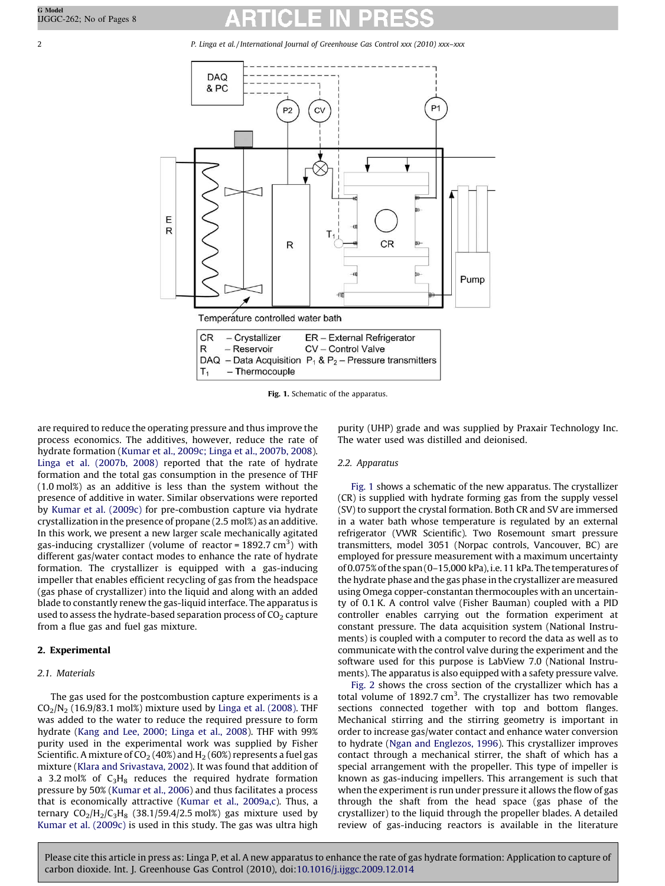2 *P. Linga et al. / International Journal of Greenhouse Gas Control xxx (2010) xxx–xxx*



Fig. 1. Schematic of the apparatus.

are required to reduce the operating pressure and thus improve the process economics. The additives, however, reduce the rate of hydrate formation ([Kumar et al., 2009c; Linga et al., 2007b, 2008\)](#page-8-0). [Linga et al. \(2007b, 2008\)](#page-8-0) reported that the rate of hydrate formation and the total gas consumption in the presence of THF (1.0 mol%) as an additive is less than the system without the presence of additive in water. Similar observations were reported by [Kumar et al. \(2009c\)](#page-8-0) for pre-combustion capture via hydrate crystallization in the presence of propane (2.5 mol%) as an additive. In this work, we present a new larger scale mechanically agitated gas-inducing crystallizer (volume of reactor = 1892.7  $\text{cm}^3$ ) with different gas/water contact modes to enhance the rate of hydrate formation. The crystallizer is equipped with a gas-inducing impeller that enables efficient recycling of gas from the headspace (gas phase of crystallizer) into the liquid and along with an added blade to constantly renew the gas-liquid interface. The apparatus is used to assess the hydrate-based separation process of  $CO<sub>2</sub>$  capture from a flue gas and fuel gas mixture.

## 2. Experimental

## *2.1. Materials*

The gas used for the postcombustion capture experiments is a  $CO<sub>2</sub>/N<sub>2</sub>$  (16.9/83.1 mol%) mixture used by [Linga et al. \(2008\)](#page-8-0). THF was added to the water to reduce the required pressure to form hydrate ([Kang and Lee, 2000; Linga et al., 2008\)](#page-8-0). THF with 99% purity used in the experimental work was supplied by Fisher Scientific. A mixture of  $CO<sub>2</sub>$  (40%) and H<sub>2</sub> (60%) represents a fuel gas mixture [\(Klara and Srivastava, 2002\)](#page-8-0). It was found that addition of a 3.2 mol% of  $C_3H_8$  reduces the required hydrate formation pressure by 50% [\(Kumar et al., 2006\)](#page-8-0) and thus facilitates a process that is economically attractive ([Kumar et al., 2009a,c](#page-8-0)). Thus, a ternary  $CO<sub>2</sub>/H<sub>2</sub>/C<sub>3</sub>H<sub>8</sub>$  (38.1/59.4/2.5 mol%) gas mixture used by [Kumar et al. \(2009c\)](#page-8-0) is used in this study. The gas was ultra high purity (UHP) grade and was supplied by Praxair Technology Inc. The water used was distilled and deionised.

## *2.2. Apparatus*

Fig. 1 shows a schematic of the new apparatus. The crystallizer (CR) is supplied with hydrate forming gas from the supply vessel (SV) to support the crystal formation. Both CR and SV are immersed in a water bath whose temperature is regulated by an external refrigerator (VWR Scientific). Two Rosemount smart pressure transmitters, model 3051 (Norpac controls, Vancouver, BC) are employed for pressure measurement with a maximum uncertainty of 0.075% of the span (0–15,000 kPa), i.e. 11 kPa. The temperatures of the hydrate phase and the gas phase in the crystallizer are measured using Omega copper-constantan thermocouples with an uncertainty of 0.1 K. A control valve (Fisher Bauman) coupled with a PID controller enables carrying out the formation experiment at constant pressure. The data acquisition system (National Instruments) is coupled with a computer to record the data as well as to communicate with the control valve during the experiment and the software used for this purpose is LabView 7.0 (National Instruments). The apparatus is also equipped with a safety pressure valve.

[Fig. 2](#page-3-0) shows the cross section of the crystallizer which has a total volume of 1892.7  $cm<sup>3</sup>$ . The crystallizer has two removable sections connected together with top and bottom flanges. Mechanical stirring and the stirring geometry is important in order to increase gas/water contact and enhance water conversion to hydrate ([Ngan and Englezos, 1996](#page-8-0)). This crystallizer improves contact through a mechanical stirrer, the shaft of which has a special arrangement with the propeller. This type of impeller is known as gas-inducing impellers. This arrangement is such that when the experiment is run under pressure it allows the flow of gas through the shaft from the head space (gas phase of the crystallizer) to the liquid through the propeller blades. A detailed review of gas-inducing reactors is available in the literature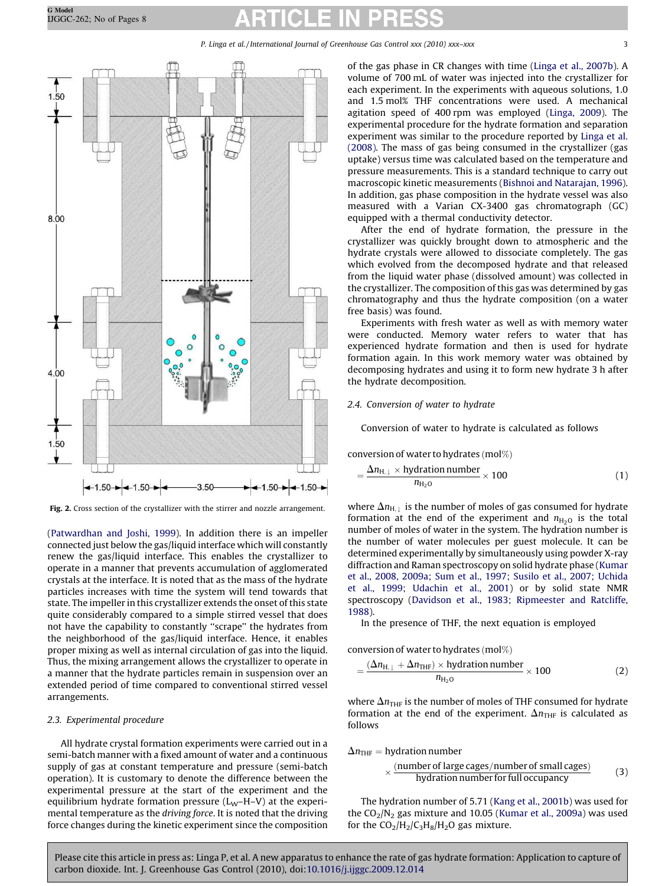<span id="page-3-0"></span>

Fig. 2. Cross section of the crystallizer with the stirrer and nozzle arrangement.

([Patwardhan and Joshi, 1999](#page-8-0)). In addition there is an impeller connected just below the gas/liquid interface which will constantly renew the gas/liquid interface. This enables the crystallizer to operate in a manner that prevents accumulation of agglomerated crystals at the interface. It is noted that as the mass of the hydrate particles increases with time the system will tend towards that state. The impeller in this crystallizer extends the onset of this state quite considerably compared to a simple stirred vessel that does not have the capability to constantly ''scrape'' the hydrates from the neighborhood of the gas/liquid interface. Hence, it enables proper mixing as well as internal circulation of gas into the liquid. Thus, the mixing arrangement allows the crystallizer to operate in a manner that the hydrate particles remain in suspension over an extended period of time compared to conventional stirred vessel arrangements.

#### *2.3. Experimental procedure*

All hydrate crystal formation experiments were carried out in a semi-batch manner with a fixed amount of water and a continuous supply of gas at constant temperature and pressure (semi-batch operation). It is customary to denote the difference between the experimental pressure at the start of the experiment and the equilibrium hydrate formation pressure  $(L_W-H-V)$  at the experimental temperature as the *driving force*. It is noted that the driving force changes during the kinetic experiment since the composition of the gas phase in CR changes with time [\(Linga et al., 2007b](#page-8-0)). A volume of 700 mL of water was injected into the crystallizer for each experiment. In the experiments with aqueous solutions, 1.0 and 1.5 mol% THF concentrations were used. A mechanical agitation speed of 400 rpm was employed [\(Linga, 2009\)](#page-8-0). The experimental procedure for the hydrate formation and separation experiment was similar to the procedure reported by [Linga et al.](#page-8-0) [\(2008\).](#page-8-0) The mass of gas being consumed in the crystallizer (gas uptake) versus time was calculated based on the temperature and pressure measurements. This is a standard technique to carry out macroscopic kinetic measurements ([Bishnoi and Natarajan, 1996\)](#page-8-0). In addition, gas phase composition in the hydrate vessel was also measured with a Varian CX-3400 gas chromatograph (GC) equipped with a thermal conductivity detector.

After the end of hydrate formation, the pressure in the crystallizer was quickly brought down to atmospheric and the hydrate crystals were allowed to dissociate completely. The gas which evolved from the decomposed hydrate and that released from the liquid water phase (dissolved amount) was collected in the crystallizer. The composition of this gas was determined by gas chromatography and thus the hydrate composition (on a water free basis) was found.

Experiments with fresh water as well as with memory water were conducted. Memory water refers to water that has experienced hydrate formation and then is used for hydrate formation again. In this work memory water was obtained by decomposing hydrates and using it to form new hydrate 3 h after the hydrate decomposition.

### *2.4. Conversion of water to hydrate*

Conversion of water to hydrate is calculated as follows

conversion of water to hydrates  $(mod\%)$ 

$$
=\frac{\Delta n_{\text{H},\perp} \times \text{hydration number}}{n_{\text{H}_2\text{O}}} \times 100
$$
 (1)

where  $\Delta n_{\text{H},\perp}$  is the number of moles of gas consumed for hydrate formation at the end of the experiment and  $n_{\text{H}_2O}$  is the total number of moles of water in the system. The hydration number is the number of water molecules per guest molecule. It can be determined experimentally by simultaneously using powder X-ray diffraction and Raman spectroscopy on solid hydrate phase ([Kumar](#page-8-0) [et al., 2008, 2009a; Sum et al., 1997; Susilo et al., 2007; Uchida](#page-8-0) [et al., 1999; Udachin et al., 2001\)](#page-8-0) or by solid state NMR spectroscopy ([Davidson et al., 1983; Ripmeester and Ratcliffe,](#page-8-0) [1988\)](#page-8-0).

In the presence of THF, the next equation is employed

$$
conversion\ of\ water\ to\ hydrates\ (mol\%)
$$

$$
=\frac{(\Delta n_{\text{H},\perp} + \Delta n_{\text{THF}}) \times \text{hydration number}}{n_{\text{H}_2\text{O}}} \times 100
$$
 (2)

where  $\Delta n_{\text{THF}}$  is the number of moles of THF consumed for hydrate formation at the end of the experiment.  $\Delta n_{\text{THF}}$  is calculated as follows

 $\Delta n_{\text{THF}}$  = hydration number

$$
\times \frac{(number of large cages/number of small cages)}{hydration number for full occupancy} \tag{3}
$$

The hydration number of 5.71 [\(Kang et al., 2001b\)](#page-8-0) was used for the  $CO<sub>2</sub>/N<sub>2</sub>$  gas mixture and 10.05 [\(Kumar et al., 2009a\)](#page-8-0) was used for the  $CO_2/H_2/C_3H_8/H_2O$  gas mixture.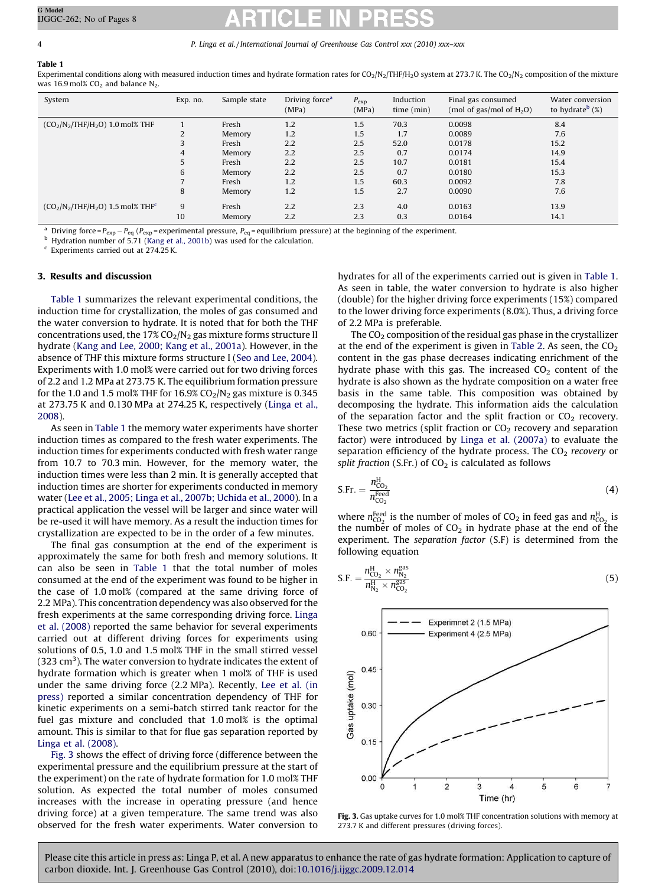<span id="page-4-0"></span>Table 1 Experimental conditions along with measured induction times and hydrate formation rates for CO<sub>2</sub>/N<sub>2</sub>/THF/H<sub>2</sub>O system at 273.7 K. The CO<sub>2</sub>/N<sub>2</sub> composition of the mixture was 16.9 mol%  $CO<sub>2</sub>$  and balance N<sub>2</sub>.

| System                                          | Exp. no. | Sample state | Driving force <sup>a</sup><br>(MPa) | $P_{\rm exp}$<br>(MPa) | Induction<br>time (min) | Final gas consumed<br>(mol of gas/mol of $H_2O$ ) | Water conversion<br>to hydrate <sup>b</sup> $(\%)$ |
|-------------------------------------------------|----------|--------------|-------------------------------------|------------------------|-------------------------|---------------------------------------------------|----------------------------------------------------|
| $(CO_2/N_2/THF/H_2O)$ 1.0 mol% THF              |          | Fresh        | 1.2                                 | 1.5                    | 70.3                    | 0.0098                                            | 8.4                                                |
|                                                 |          | Memory       | 1.2                                 | 1.5                    | 1.7                     | 0.0089                                            | 7.6                                                |
|                                                 | 3        | Fresh        | 2.2                                 | 2.5                    | 52.0                    | 0.0178                                            | 15.2                                               |
|                                                 | 4        | Memory       | 2.2                                 | 2.5                    | 0.7                     | 0.0174                                            | 14.9                                               |
|                                                 | 5        | Fresh        | 2.2                                 | 2.5                    | 10.7                    | 0.0181                                            | 15.4                                               |
|                                                 | 6        | Memory       | 2.2                                 | 2.5                    | 0.7                     | 0.0180                                            | 15.3                                               |
|                                                 |          | Fresh        | 1.2                                 | 1.5                    | 60.3                    | 0.0092                                            | 7.8                                                |
|                                                 | 8        | Memory       | 1.2                                 | 1.5                    | 2.7                     | 0.0090                                            | 7.6                                                |
| $(CO_2/N_2/THF/H_2O)$ 1.5 mol% THF <sup>c</sup> | 9        | Fresh        | 2.2                                 | 2.3                    | 4.0                     | 0.0163                                            | 13.9                                               |
|                                                 | 10       | Memory       | 2.2                                 | 2.3                    | 0.3                     | 0.0164                                            | 14.1                                               |

<sup>a</sup> Driving force =  $P_{exp}$  –  $P_{eq}$  ( $P_{exp}$  = experimental pressure,  $P_{eq}$  = equilibrium pressure) at the beginning of the experiment.

<sup>b</sup> Hydration number of 5.71 ([Kang et al., 2001b](#page-8-0)) was used for the calculation.

c Experiments carried out at 274.25 K.

#### 3. Results and discussion

Table 1 summarizes the relevant experimental conditions, the induction time for crystallization, the moles of gas consumed and the water conversion to hydrate. It is noted that for both the THF concentrations used, the  $17\%$  CO<sub>2</sub>/N<sub>2</sub> gas mixture forms structure II hydrate ([Kang and Lee, 2000; Kang et al., 2001a](#page-8-0)). However, in the absence of THF this mixture forms structure I ([Seo and Lee, 2004\)](#page-8-0). Experiments with 1.0 mol% were carried out for two driving forces of 2.2 and 1.2 MPa at 273.75 K. The equilibrium formation pressure for the 1.0 and 1.5 mol% THF for 16.9%  $CO<sub>2</sub>/N<sub>2</sub>$  gas mixture is 0.345 at 273.75 K and 0.130 MPa at 274.25 K, respectively [\(Linga et al.,](#page-8-0) [2008\)](#page-8-0).

As seen in Table 1 the memory water experiments have shorter induction times as compared to the fresh water experiments. The induction times for experiments conducted with fresh water range from 10.7 to 70.3 min. However, for the memory water, the induction times were less than 2 min. It is generally accepted that induction times are shorter for experiments conducted in memory water ([Lee et al., 2005; Linga et al., 2007b; Uchida et al., 2000](#page-8-0)). In a practical application the vessel will be larger and since water will be re-used it will have memory. As a result the induction times for crystallization are expected to be in the order of a few minutes.

The final gas consumption at the end of the experiment is approximately the same for both fresh and memory solutions. It can also be seen in Table 1 that the total number of moles consumed at the end of the experiment was found to be higher in the case of 1.0 mol% (compared at the same driving force of 2.2 MPa). This concentration dependency was also observed for the fresh experiments at the same corresponding driving force. [Linga](#page-8-0) [et al. \(2008\)](#page-8-0) reported the same behavior for several experiments carried out at different driving forces for experiments using solutions of 0.5, 1.0 and 1.5 mol% THF in the small stirred vessel (323  $\text{cm}^3$ ). The water conversion to hydrate indicates the extent of hydrate formation which is greater when 1 mol% of THF is used under the same driving force (2.2 MPa). Recently, [Lee et al. \(in](#page-8-0) [press\)](#page-8-0) reported a similar concentration dependency of THF for kinetic experiments on a semi-batch stirred tank reactor for the fuel gas mixture and concluded that 1.0 mol% is the optimal amount. This is similar to that for flue gas separation reported by [Linga et al. \(2008\).](#page-8-0)

Fig. 3 shows the effect of driving force (difference between the experimental pressure and the equilibrium pressure at the start of the experiment) on the rate of hydrate formation for 1.0 mol% THF solution. As expected the total number of moles consumed increases with the increase in operating pressure (and hence driving force) at a given temperature. The same trend was also observed for the fresh water experiments. Water conversion to hydrates for all of the experiments carried out is given in Table 1. As seen in table, the water conversion to hydrate is also higher (double) for the higher driving force experiments (15%) compared to the lower driving force experiments (8.0%). Thus, a driving force of 2.2 MPa is preferable.

The  $CO<sub>2</sub>$  composition of the residual gas phase in the crystallizer at the end of the experiment is given in [Table 2](#page-5-0). As seen, the  $CO<sub>2</sub>$ content in the gas phase decreases indicating enrichment of the hydrate phase with this gas. The increased  $CO<sub>2</sub>$  content of the hydrate is also shown as the hydrate composition on a water free basis in the same table. This composition was obtained by decomposing the hydrate. This information aids the calculation of the separation factor and the split fraction or  $CO<sub>2</sub>$  recovery. These two metrics (split fraction or  $CO<sub>2</sub>$  recovery and separation factor) were introduced by [Linga et al. \(2007a\)](#page-8-0) to evaluate the separation efficiency of the hydrate process. The CO<sub>2</sub> recovery or *split fraction* (S.Fr.) of  $CO<sub>2</sub>$  is calculated as follows

$$
\text{S.Fr.} = \frac{n_{\text{CO}_2}^{\text{H}}}{n_{\text{CO}_2}^{\text{feed}}} \tag{4}
$$

where  $n_{\text{CO}_2}^{\text{feed}}$  is the number of moles of  $\text{CO}_2$  in feed gas and  $n_{\text{CO}_2}^{\text{H}}$  is the number of moles of  $CO<sub>2</sub>$  in hydrate phase at the end of the experiment. The *separation factor* (S.F) is determined from the following equation

$$
S.F. = \frac{n_{CO_2}^H \times n_{N_2}^{gas}}{n_{N_2}^H \times n_{CO_2}^{gas}}
$$
(5)



Fig. 3. Gas uptake curves for 1.0 mol% THF concentration solutions with memory at 273.7 K and different pressures (driving forces).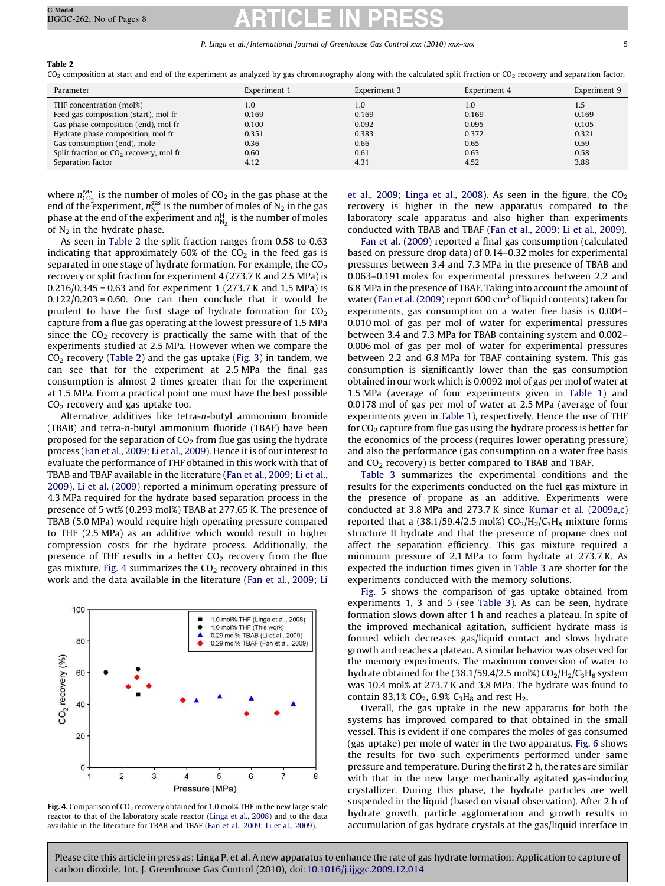### <span id="page-5-0"></span>Table 2

 $CO<sub>2</sub>$  composition at start and end of the experiment as analyzed by gas chromatography along with the calculated split fraction or  $CO<sub>2</sub>$  recovery and separation factor.

| Parameter                                | Experiment 1     | Experiment 3 | Experiment 4 | Experiment 9 |
|------------------------------------------|------------------|--------------|--------------|--------------|
| THF concentration (mol%)                 | 1.0 <sub>1</sub> | 1.0          | 1.0          | 1.5          |
| Feed gas composition (start), mol fr     | 0.169            | 0.169        | 0.169        | 0.169        |
| Gas phase composition (end), mol fr      | 0.100            | 0.092        | 0.095        | 0.105        |
| Hydrate phase composition, mol fr        | 0.351            | 0.383        | 0.372        | 0.321        |
| Gas consumption (end), mole              | 0.36             | 0.66         | 0.65         | 0.59         |
| Split fraction or $CO2$ recovery, mol fr | 0.60             | 0.61         | 0.63         | 0.58         |
| Separation factor                        | 4.12             | 4.31         | 4.52         | 3.88         |

where  $n_{\text{CO}_2}^{\text{gas}}$  is the number of moles of CO<sub>2</sub> in the gas phase at the where  $n_{CO_2}$  is the number of moles of  $CO_2$  in the gas phase at the end of the experiment,  $n_{N_2}^{gas}$  is the number of moles of N<sub>2</sub> in the gas phase at the end of the experiment and  $n_{N_2}^H$  is the number of moles of  $N<sub>2</sub>$  in the hydrate phase.

As seen in Table 2 the split fraction ranges from 0.58 to 0.63 indicating that approximately 60% of the  $CO<sub>2</sub>$  in the feed gas is separated in one stage of hydrate formation. For example, the  $CO<sub>2</sub>$ recovery or split fraction for experiment 4 (273.7 K and 2.5 MPa) is 0.216/0.345 = 0.63 and for experiment 1 (273.7 K and 1.5 MPa) is  $0.122/0.203 = 0.60$ . One can then conclude that it would be prudent to have the first stage of hydrate formation for  $CO<sub>2</sub>$ capture from a flue gas operating at the lowest pressure of 1.5 MPa since the  $CO<sub>2</sub>$  recovery is practically the same with that of the experiments studied at 2.5 MPa. However when we compare the  $CO<sub>2</sub>$  recovery (Table 2) and the gas uptake ([Fig. 3](#page-4-0)) in tandem, we can see that for the experiment at 2.5 MPa the final gas consumption is almost 2 times greater than for the experiment at 1.5 MPa. From a practical point one must have the best possible  $CO<sub>2</sub>$  recovery and gas uptake too.

Alternative additives like tetra-*n*-butyl ammonium bromide (TBAB) and tetra-*n*-butyl ammonium fluoride (TBAF) have been proposed for the separation of  $CO<sub>2</sub>$  from flue gas using the hydrate process ([Fan et al., 2009; Li et al., 2009](#page-8-0)). Hence it is of our interest to evaluate the performance of THF obtained in this work with that of TBAB and TBAF available in the literature [\(Fan et al., 2009; Li et al.,](#page-8-0) [2009\)](#page-8-0). [Li et al. \(2009\)](#page-8-0) reported a minimum operating pressure of 4.3 MPa required for the hydrate based separation process in the presence of 5 wt% (0.293 mol%) TBAB at 277.65 K. The presence of TBAB (5.0 MPa) would require high operating pressure compared to THF (2.5 MPa) as an additive which would result in higher compression costs for the hydrate process. Additionally, the presence of THF results in a better  $CO<sub>2</sub>$  recovery from the flue gas mixture. Fig. 4 summarizes the  $CO<sub>2</sub>$  recovery obtained in this work and the data available in the literature ([Fan et al., 2009; Li](#page-8-0)



Fig. 4. Comparison of  $CO<sub>2</sub>$  recovery obtained for 1.0 mol% THF in the new large scale reactor to that of the laboratory scale reactor [\(Linga et al., 2008](#page-8-0)) and to the data available in the literature for TBAB and TBAF [\(Fan et al., 2009; Li et al., 2009\)](#page-8-0).

[et al., 2009; Linga et al., 2008\)](#page-8-0). As seen in the figure, the  $CO<sub>2</sub>$ recovery is higher in the new apparatus compared to the laboratory scale apparatus and also higher than experiments conducted with TBAB and TBAF ([Fan et al., 2009; Li et al., 2009](#page-8-0)).

[Fan et al. \(2009\)](#page-8-0) reported a final gas consumption (calculated based on pressure drop data) of 0.14–0.32 moles for experimental pressures between 3.4 and 7.3 MPa in the presence of TBAB and 0.063–0.191 moles for experimental pressures between 2.2 and 6.8 MPa in the presence of TBAF. Taking into account the amount of water [\(Fan et al. \(2009\)](#page-8-0) report 600 cm<sup>3</sup> of liquid contents) taken for experiments, gas consumption on a water free basis is 0.004– 0.010 mol of gas per mol of water for experimental pressures between 3.4 and 7.3 MPa for TBAB containing system and 0.002– 0.006 mol of gas per mol of water for experimental pressures between 2.2 and 6.8 MPa for TBAF containing system. This gas consumption is significantly lower than the gas consumption obtained in our work which is 0.0092 mol of gas per mol of water at 1.5 MPa (average of four experiments given in [Table 1](#page-4-0)) and 0.0178 mol of gas per mol of water at 2.5 MPa (average of four experiments given in [Table 1\)](#page-4-0), respectively. Hence the use of THF for  $CO<sub>2</sub>$  capture from flue gas using the hydrate process is better for the economics of the process (requires lower operating pressure) and also the performance (gas consumption on a water free basis and  $CO<sub>2</sub>$  recovery) is better compared to TBAB and TBAF.

[Table 3](#page-6-0) summarizes the experimental conditions and the results for the experiments conducted on the fuel gas mixture in the presence of propane as an additive. Experiments were conducted at 3.8 MPa and 273.7 K since [Kumar et al. \(2009a,c\)](#page-8-0) reported that a (38.1/59.4/2.5 mol%)  $CO<sub>2</sub>/H<sub>2</sub>/C<sub>3</sub>H<sub>8</sub>$  mixture forms structure II hydrate and that the presence of propane does not affect the separation efficiency. This gas mixture required a minimum pressure of 2.1 MPa to form hydrate at 273.7 K. As expected the induction times given in [Table 3](#page-6-0) are shorter for the experiments conducted with the memory solutions.

[Fig. 5](#page-6-0) shows the comparison of gas uptake obtained from experiments 1, 3 and 5 (see [Table 3\)](#page-6-0). As can be seen, hydrate formation slows down after 1 h and reaches a plateau. In spite of the improved mechanical agitation, sufficient hydrate mass is formed which decreases gas/liquid contact and slows hydrate growth and reaches a plateau. A similar behavior was observed for the memory experiments. The maximum conversion of water to hydrate obtained for the (38.1/59.4/2.5 mol%)  $CO<sub>2</sub>/H<sub>2</sub>/C<sub>3</sub>H<sub>8</sub>$  system was 10.4 mol% at 273.7 K and 3.8 MPa. The hydrate was found to contain 83.1% CO<sub>2</sub>, 6.9% C<sub>3</sub>H<sub>8</sub> and rest H<sub>2</sub>.

Overall, the gas uptake in the new apparatus for both the systems has improved compared to that obtained in the small vessel. This is evident if one compares the moles of gas consumed (gas uptake) per mole of water in the two apparatus. [Fig. 6](#page-6-0) shows the results for two such experiments performed under same pressure and temperature. During the first 2 h, the rates are similar with that in the new large mechanically agitated gas-inducing crystallizer. During this phase, the hydrate particles are well suspended in the liquid (based on visual observation). After 2 h of hydrate growth, particle agglomeration and growth results in accumulation of gas hydrate crystals at the gas/liquid interface in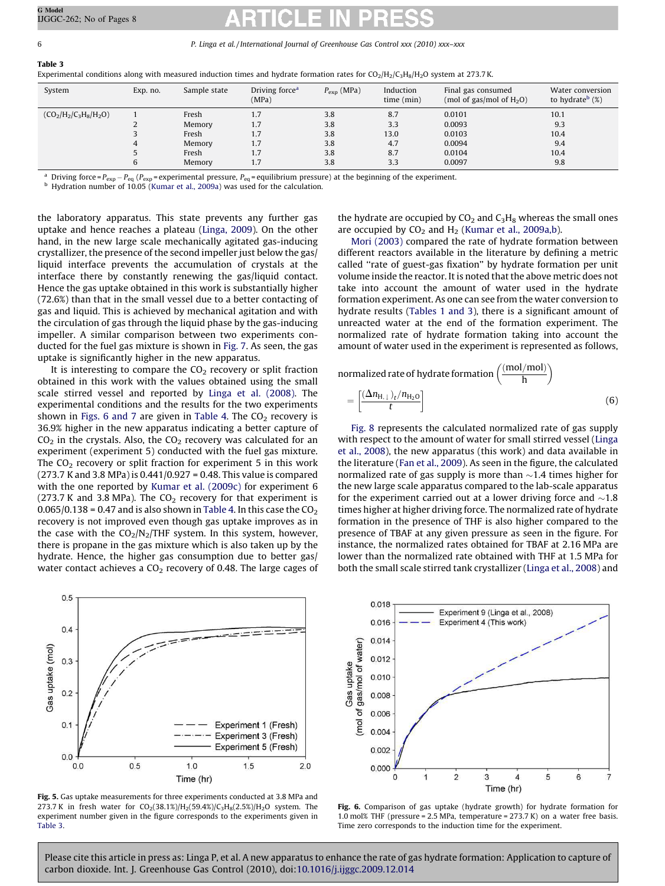<span id="page-6-0"></span>Table 3

| System                   | Exp. no. | Sample state                                          | Driving force <sup>a</sup><br>(MPa)    | $P_{\rm exp}$ (MPa)                    | Induction<br>time (min)                 | Final gas consumed<br>(mol of gas/mol of $H_2O$ )        | Water conversion<br>to hydrate <sup>b</sup> $(\%)$ |
|--------------------------|----------|-------------------------------------------------------|----------------------------------------|----------------------------------------|-----------------------------------------|----------------------------------------------------------|----------------------------------------------------|
| $(CO_2/H_2/C_3H_8/H_2O)$ | 4<br>6   | Fresh<br>Memory<br>Fresh<br>Memory<br>Fresh<br>Memory | 1.7<br>1.7<br>1.7<br>1.7<br>1.7<br>1.7 | 3.8<br>3.8<br>3.8<br>3.8<br>3.8<br>3.8 | 8.7<br>3.3<br>13.0<br>4.7<br>8.7<br>3.3 | 0.0101<br>0.0093<br>0.0103<br>0.0094<br>0.0104<br>0.0097 | 10.1<br>9.3<br>10.4<br>9.4<br>10.4<br>9.8          |

<sup>a</sup> Driving force =  $P_{exp}$   $-P_{eq}$  ( $P_{exp}$  = experimental pressure,  $P_{eq}$  = equilibrium pressure) at the beginning of the experiment.

b Hydration number of 10.05 ([Kumar et al., 2009a\)](#page-8-0) was used for the calculation.

the laboratory apparatus. This state prevents any further gas uptake and hence reaches a plateau [\(Linga, 2009](#page-8-0)). On the other hand, in the new large scale mechanically agitated gas-inducing crystallizer, the presence of the second impeller just below the gas/ liquid interface prevents the accumulation of crystals at the interface there by constantly renewing the gas/liquid contact. Hence the gas uptake obtained in this work is substantially higher (72.6%) than that in the small vessel due to a better contacting of gas and liquid. This is achieved by mechanical agitation and with the circulation of gas through the liquid phase by the gas-inducing impeller. A similar comparison between two experiments conducted for the fuel gas mixture is shown in [Fig. 7](#page-7-0). As seen, the gas uptake is significantly higher in the new apparatus.

It is interesting to compare the  $CO<sub>2</sub>$  recovery or split fraction obtained in this work with the values obtained using the small scale stirred vessel and reported by [Linga et al. \(2008\).](#page-8-0) The experimental conditions and the results for the two experiments shown in Figs. 6 and 7 are given in [Table 4](#page-7-0). The  $CO<sub>2</sub>$  recovery is 36.9% higher in the new apparatus indicating a better capture of  $CO<sub>2</sub>$  in the crystals. Also, the  $CO<sub>2</sub>$  recovery was calculated for an experiment (experiment 5) conducted with the fuel gas mixture. The  $CO<sub>2</sub>$  recovery or split fraction for experiment 5 in this work (273.7 K and 3.8 MPa) is 0.441/0.927 = 0.48. This value is compared with the one reported by [Kumar et al. \(2009c\)](#page-8-0) for experiment 6 (273.7 K and 3.8 MPa). The  $CO<sub>2</sub>$  recovery for that experiment is  $0.065/0.138 = 0.47$  and is also shown in [Table 4](#page-7-0). In this case the CO<sub>2</sub> recovery is not improved even though gas uptake improves as in the case with the  $CO_2/N_2/THF$  system. In this system, however, there is propane in the gas mixture which is also taken up by the hydrate. Hence, the higher gas consumption due to better gas/ water contact achieves a  $CO<sub>2</sub>$  recovery of 0.48. The large cages of



Fig. 5. Gas uptake measurements for three experiments conducted at 3.8 MPa and 273.7 K in fresh water for  $CO_2(38.1\%)H_2(59.4\%)C_3H_8(2.5\%)H_2O$  system. The experiment number given in the figure corresponds to the experiments given in Table 3.

the hydrate are occupied by  $CO<sub>2</sub>$  and  $C<sub>3</sub>H<sub>8</sub>$  whereas the small ones are occupied by  $CO<sub>2</sub>$  and  $H<sub>2</sub>$  ([Kumar et al., 2009a,b\)](#page-8-0).

[Mori \(2003\)](#page-8-0) compared the rate of hydrate formation between different reactors available in the literature by defining a metric called ''rate of guest-gas fixation'' by hydrate formation per unit volume inside the reactor. It is noted that the above metric does not take into account the amount of water used in the hydrate formation experiment. As one can see from the water conversion to hydrate results ([Tables 1 and 3\)](#page-4-0), there is a significant amount of unreacted water at the end of the formation experiment. The normalized rate of hydrate formation taking into account the amount of water used in the experiment is represented as follows,

normalized rate of hydrate formation  $\left(\frac{\text{(mol/mol)}}{\text{h}}\right)$  $\frac{1}{\text{mod}}$ 

$$
=\left[\frac{(\Delta n_{\text{H},\downarrow})_t/n_{\text{H}_2\text{O}}}{t}\right]
$$
 (6)

[Fig. 8](#page-7-0) represents the calculated normalized rate of gas supply with respect to the amount of water for small stirred vessel [\(Linga](#page-8-0) [et al., 2008](#page-8-0)), the new apparatus (this work) and data available in the literature ([Fan et al., 2009](#page-8-0)). As seen in the figure, the calculated normalized rate of gas supply is more than  $\sim$ 1.4 times higher for the new large scale apparatus compared to the lab-scale apparatus for the experiment carried out at a lower driving force and  $\sim$ 1.8 times higher at higher driving force. The normalized rate of hydrate formation in the presence of THF is also higher compared to the presence of TBAF at any given pressure as seen in the figure. For instance, the normalized rates obtained for TBAF at 2.16 MPa are lower than the normalized rate obtained with THF at 1.5 MPa for both the small scale stirred tank crystallizer ([Linga et al., 2008\)](#page-8-0) and



Fig. 6. Comparison of gas uptake (hydrate growth) for hydrate formation for 1.0 mol% THF (pressure = 2.5 MPa, temperature = 273.7 K) on a water free basis. Time zero corresponds to the induction time for the experiment.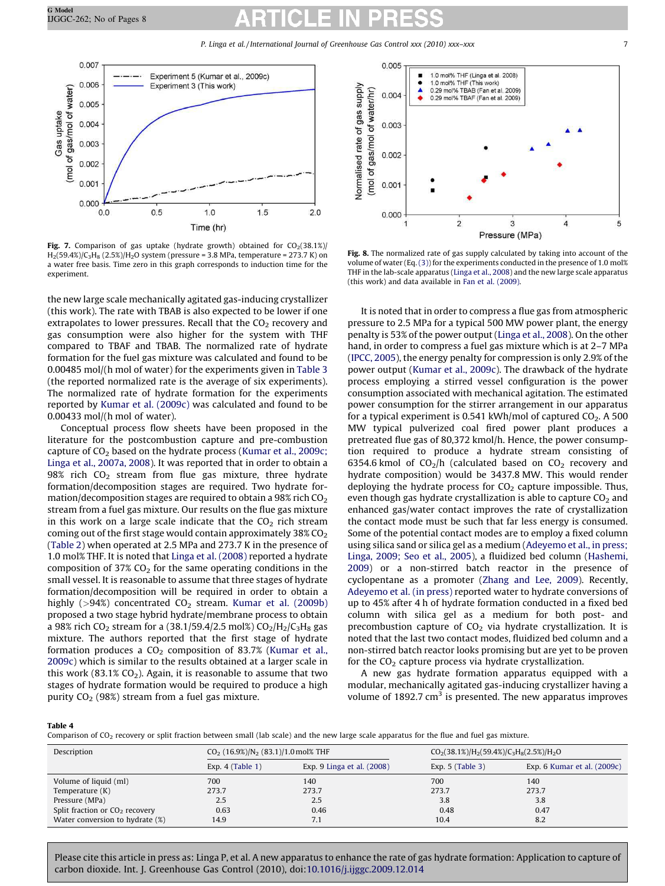<span id="page-7-0"></span>

Fig. 7. Comparison of gas uptake (hydrate growth) obtained for  $CO<sub>2</sub>(38.1%)$  $H_2(59.4%)/C_3H_8 (2.5%)/H_2O$  system (pressure = 3.8 MPa, temperature = 273.7 K) on a water free basis. Time zero in this graph corresponds to induction time for the experiment.

the new large scale mechanically agitated gas-inducing crystallizer (this work). The rate with TBAB is also expected to be lower if one extrapolates to lower pressures. Recall that the  $CO<sub>2</sub>$  recovery and gas consumption were also higher for the system with THF compared to TBAF and TBAB. The normalized rate of hydrate formation for the fuel gas mixture was calculated and found to be 0.00485 mol/(h mol of water) for the experiments given in [Table 3](#page-6-0) (the reported normalized rate is the average of six experiments). The normalized rate of hydrate formation for the experiments reported by [Kumar et al. \(2009c\)](#page-8-0) was calculated and found to be 0.00433 mol/(h mol of water).

Conceptual process flow sheets have been proposed in the literature for the postcombustion capture and pre-combustion capture of  $CO<sub>2</sub>$  based on the hydrate process ([Kumar et al., 2009c;](#page-8-0) [Linga et al., 2007a, 2008\)](#page-8-0). It was reported that in order to obtain a 98% rich  $CO<sub>2</sub>$  stream from flue gas mixture, three hydrate formation/decomposition stages are required. Two hydrate formation/decomposition stages are required to obtain a 98% rich  $CO<sub>2</sub>$ stream from a fuel gas mixture. Our results on the flue gas mixture in this work on a large scale indicate that the  $CO<sub>2</sub>$  rich stream coming out of the first stage would contain approximately  $38\%$  CO<sub>2</sub> ([Table 2](#page-5-0)) when operated at 2.5 MPa and 273.7 K in the presence of 1.0 mol% THF. It is noted that [Linga et al. \(2008\)](#page-8-0) reported a hydrate composition of 37%  $CO<sub>2</sub>$  for the same operating conditions in the small vessel. It is reasonable to assume that three stages of hydrate formation/decomposition will be required in order to obtain a highly  $(>94%)$  concentrated  $CO<sub>2</sub>$  stream. Kumar et al.  $(2009b)$ proposed a two stage hybrid hydrate/membrane process to obtain a 98% rich CO<sub>2</sub> stream for a (38.1/59.4/2.5 mol%) CO<sub>2</sub>/H<sub>2</sub>/C<sub>3</sub>H<sub>8</sub> gas mixture. The authors reported that the first stage of hydrate formation produces a  $CO<sub>2</sub>$  composition of 83.7% ([Kumar et al.,](#page-8-0) [2009c\)](#page-8-0) which is similar to the results obtained at a larger scale in this work (83.1%  $CO<sub>2</sub>$ ). Again, it is reasonable to assume that two stages of hydrate formation would be required to produce a high purity  $CO<sub>2</sub>$  (98%) stream from a fuel gas mixture.



Fig. 8. The normalized rate of gas supply calculated by taking into account of the volume of water (Eq. [\(3\)\)](#page-3-0) for the experiments conducted in the presence of 1.0 mol% THF in the lab-scale apparatus [\(Linga et al., 2008\)](#page-8-0) and the new large scale apparatus (this work) and data available in [Fan et al. \(2009\).](#page-8-0)

It is noted that in order to compress a flue gas from atmospheric pressure to 2.5 MPa for a typical 500 MW power plant, the energy penalty is 53% of the power output [\(Linga et al., 2008\)](#page-8-0). On the other hand, in order to compress a fuel gas mixture which is at 2-7 MPa ([IPCC, 2005\)](#page-8-0), the energy penalty for compression is only 2.9% of the power output ([Kumar et al., 2009c](#page-8-0)). The drawback of the hydrate process employing a stirred vessel configuration is the power consumption associated with mechanical agitation. The estimated power consumption for the stirrer arrangement in our apparatus for a typical experiment is 0.541 kWh/mol of captured  $CO<sub>2</sub>$ . A 500 MW typical pulverized coal fired power plant produces a pretreated flue gas of 80,372 kmol/h. Hence, the power consumption required to produce a hydrate stream consisting of 6354.6 kmol of  $CO<sub>2</sub>/h$  (calculated based on  $CO<sub>2</sub>$  recovery and hydrate composition) would be 3437.8 MW. This would render deploying the hydrate process for  $CO<sub>2</sub>$  capture impossible. Thus, even though gas hydrate crystallization is able to capture  $CO<sub>2</sub>$  and enhanced gas/water contact improves the rate of crystallization the contact mode must be such that far less energy is consumed. Some of the potential contact modes are to employ a fixed column using silica sand or silica gel as a medium [\(Adeyemo et al., in press;](#page-8-0) [Linga, 2009; Seo et al., 2005](#page-8-0)), a fluidized bed column ([Hashemi,](#page-8-0) [2009\)](#page-8-0) or a non-stirred batch reactor in the presence of cyclopentane as a promoter [\(Zhang and Lee, 2009](#page-8-0)). Recently, [Adeyemo et al. \(in press\)](#page-8-0) reported water to hydrate conversions of up to 45% after 4 h of hydrate formation conducted in a fixed bed column with silica gel as a medium for both post- and precombustion capture of  $CO<sub>2</sub>$  via hydrate crystallization. It is noted that the last two contact modes, fluidized bed column and a non-stirred batch reactor looks promising but are yet to be proven for the  $CO<sub>2</sub>$  capture process via hydrate crystallization.

A new gas hydrate formation apparatus equipped with a modular, mechanically agitated gas-inducing crystallizer having a volume of 1892.7  $\text{cm}^3$  is presented. The new apparatus improves

### Table 4

Comparison of CO<sub>2</sub> recovery or split fraction between small (lab scale) and the new large scale apparatus for the flue and fuel gas mixture.

| Description                      | $CO2$ (16.9%)/N <sub>2</sub> (83.1)/1.0 mol% THF |                            | $CO2(38.1%)/H2(59.4%)/C3H8(2.5%)/H2O$ |                             |  |
|----------------------------------|--------------------------------------------------|----------------------------|---------------------------------------|-----------------------------|--|
|                                  | Exp. $4$ (Table 1)                               | Exp. 9 Linga et al. (2008) | Exp. $5$ (Table 3)                    | Exp. 6 Kumar et al. (2009c) |  |
| Volume of liquid (ml)            | 700                                              | 140                        | 700                                   | 140                         |  |
| Temperature (K)                  | 273.7                                            | 273.7                      | 273.7                                 | 273.7                       |  |
| Pressure (MPa)                   | 2.5                                              | 2.5                        | 3.8                                   | 3.8                         |  |
| Split fraction or $CO2$ recovery | 0.63                                             | 0.46                       | 0.48                                  | 0.47                        |  |
| Water conversion to hydrate (%)  | 14.9                                             | 7.1                        | 10.4                                  | 8.2                         |  |